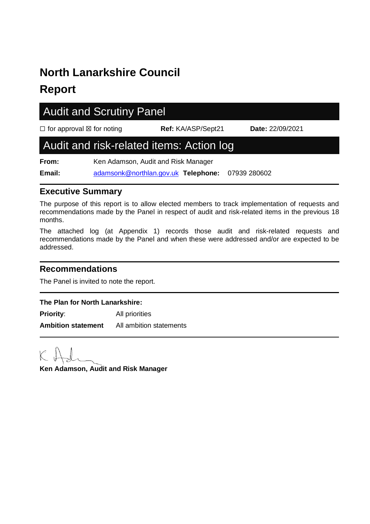# **North Lanarkshire Council**

## **Report**

# Audit and Scrutiny Panel

☐ for approval ☒ for noting **Ref:** KA/ASP/Sept21 **Date:** 22/09/2021

### Audit and risk-related items: Action log

**From:** Ken Adamson, Audit and Risk Manager **Email:** [adamsonk@northlan.gov.uk](mailto:adamsonk@northlan.gov.uk) **Telephone:** 07939 280602

#### **Executive Summary**

The purpose of this report is to allow elected members to track implementation of requests and recommendations made by the Panel in respect of audit and risk-related items in the previous 18 months.

The attached log (at Appendix 1) records those audit and risk-related requests and recommendations made by the Panel and when these were addressed and/or are expected to be addressed.

#### **Recommendations**

The Panel is invited to note the report.

#### **The Plan for North Lanarkshire:**

**Priority:** All priorities **Ambition statement** All ambition statements

**Ken Adamson, Audit and Risk Manager**